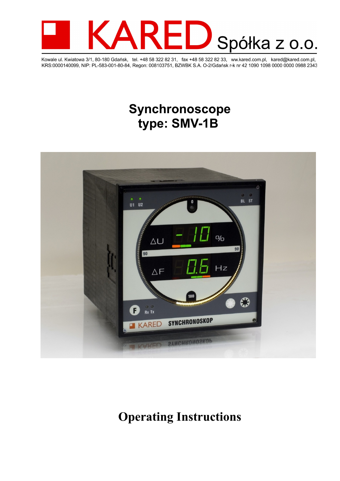

Kowale ul. Kwiatowa 3/1, 80-180 Gdańsk, tel. +48 58 322 82 31, fax +48 58 322 82 33, ww.kared.com.pl, kared@kared.com.pl,<br>KRS:0000140099, NIP: PL-583-001-80-84, Regon: 008103751, BZWBK S.A. O-2/Gdańsk r-k nr 42 1090 1098 0

## **Synchronoscope type: SMV-1B**



# **Operating Instructions**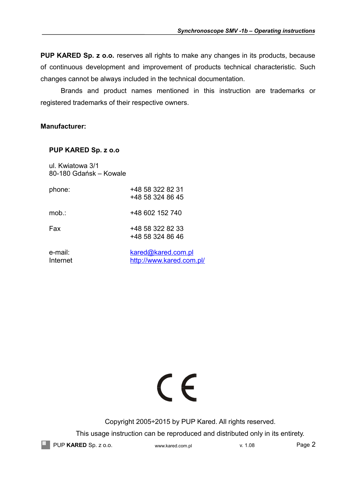**PUP KARED Sp. z o.o.** reserves all rights to make any changes in its products, because of continuous development and improvement of products technical characteristic. Such changes cannot be always included in the technical documentation.

Brands and product names mentioned in this instruction are trademarks or registered trademarks of their respective owners.

## **Manufacturer:**

## **PUP KARED Sp. z o.o**

ul. Kwiatowa 3/1 80-180 Gdańsk – Kowale

| phone:  | +48 58 322 82 31 |
|---------|------------------|
|         | +48 58 324 86 45 |
|         |                  |
| $mob$ : | +48 602 152 740  |
| Fax     | +48 58 322 82 33 |
|         |                  |
|         | +48 58 324 86 46 |
|         |                  |
|         |                  |

e-mail: [kared@kared.com.pl](mailto:kared@kared.com.pl) Internet <http://www.kared.com.pl/>

# $\epsilon$

Copyright 2005÷2015 by PUP Kared. All rights reserved.

This usage instruction can be reproduced and distributed only in its entirety.

PUP KARED Sp. z o.o. www.kared.com.pl v. 1.08 Page 2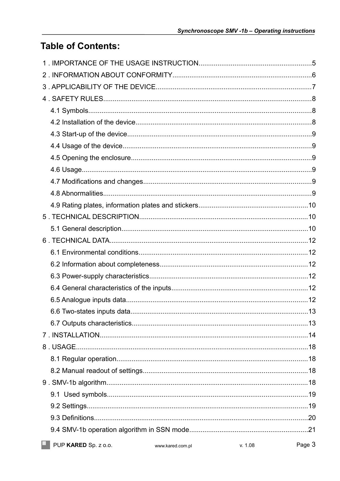## **Table of Contents:**

| PUP KARED Sp. z o.o. | www.kared.com.pl | v. 1.08 | Page 3 |
|----------------------|------------------|---------|--------|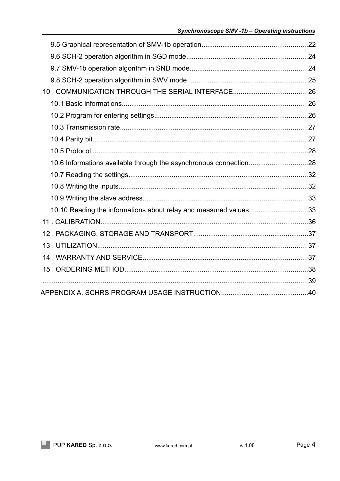| 10. COMMUNICATION THROUGH THE SERIAL INTERFACE26                  |  |
|-------------------------------------------------------------------|--|
|                                                                   |  |
|                                                                   |  |
|                                                                   |  |
|                                                                   |  |
|                                                                   |  |
| 10.6 Informations available through the asynchronous connection28 |  |
|                                                                   |  |
|                                                                   |  |
|                                                                   |  |
| 10.10 Reading the informations about relay and measured values33  |  |
|                                                                   |  |
|                                                                   |  |
|                                                                   |  |
|                                                                   |  |
|                                                                   |  |
|                                                                   |  |
|                                                                   |  |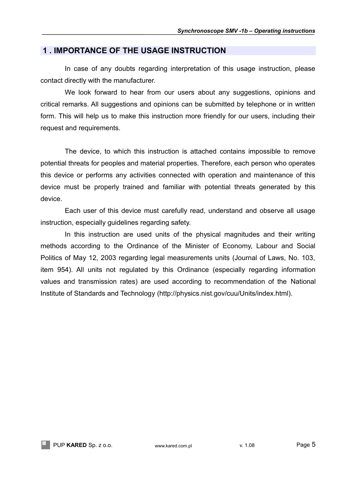## **1 . IMPORTANCE OF THE USAGE INSTRUCTION**

In case of any doubts regarding interpretation of this usage instruction, please contact directly with the manufacturer.

We look forward to hear from our users about any suggestions, opinions and critical remarks. All suggestions and opinions can be submitted by telephone or in written form. This will help us to make this instruction more friendly for our users, including their request and requirements.

The device, to which this instruction is attached contains impossible to remove potential threats for peoples and material properties. Therefore, each person who operates this device or performs any activities connected with operation and maintenance of this device must be properly trained and familiar with potential threats generated by this device.

Each user of this device must carefully read, understand and observe all usage instruction, especially guidelines regarding safety.

In this instruction are used units of the physical magnitudes and their writing methods according to the Ordinance of the Minister of Economy, Labour and Social Politics of May 12, 2003 regarding legal measurements units (Journal of Laws, No. 103, item 954). All units not regulated by this Ordinance (especially regarding information values and transmission rates) are used according to recommendation of the National Institute of Standards and Technology (http://physics.nist.gov/cuu/Units/index.html).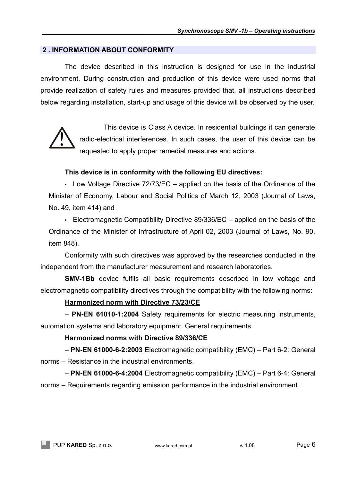## **2 . INFORMATION ABOUT CONFORMITY**

The device described in this instruction is designed for use in the industrial environment. During construction and production of this device were used norms that provide realization of safety rules and measures provided that, all instructions described below regarding installation, start-up and usage of this device will be observed by the user.



This device is Class A device. In residential buildings it can generate radio-electrical interferences. In such cases, the user of this device can be requested to apply proper remedial measures and actions.

## **This device is in conformity with the following EU directives:**

• Low Voltage Directive 72/73/EC – applied on the basis of the Ordinance of the Minister of Economy, Labour and Social Politics of March 12, 2003 (Journal of Laws, No. 49, item 414) and

• Electromagnetic Compatibility Directive 89/336/EC – applied on the basis of the Ordinance of the Minister of Infrastructure of April 02, 2003 (Journal of Laws, No. 90, item 848).

Conformity with such directives was approved by the researches conducted in the independent from the manufacturer measurement and research laboratories.

**SMV-1Bb** device fulfils all basic requirements described in low voltage and electromagnetic compatibility directives through the compatibility with the following norms:

## **Harmonized norm with Directive 73/23/CE**

– **PN-EN 61010-1:2004** Safety requirements for electric measuring instruments, automation systems and laboratory equipment. General requirements.

## **Harmonized norms with Directive 89/336/CE**

– **PN-EN 61000-6-2:2003** Electromagnetic compatibility (EMC) – Part 6-2: General norms – Resistance in the industrial environments.

– **PN-EN 61000-6-4:2004** Electromagnetic compatibility (EMC) – Part 6-4: General norms – Requirements regarding emission performance in the industrial environment.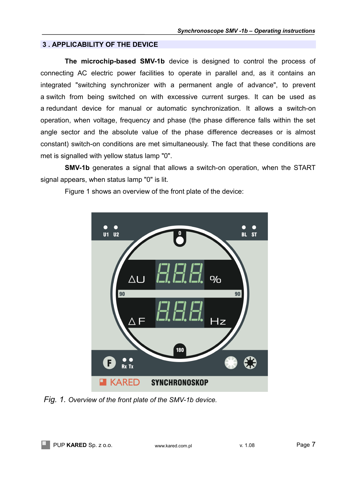## **3 . APPLICABILITY OF THE DEVICE**

**The microchip-based SMV-1b** device is designed to control the process of connecting AC electric power facilities to operate in parallel and, as it contains an integrated "switching synchronizer with a permanent angle of advance", to prevent a switch from being switched on with excessive current surges. It can be used as a redundant device for manual or automatic synchronization. It allows a switch-on operation, when voltage, frequency and phase (the phase difference falls within the set angle sector and the absolute value of the phase difference decreases or is almost constant) switch-on conditions are met simultaneously. The fact that these conditions are met is signalled with yellow status lamp "0".

**SMV-1b** generates a signal that allows a switch-on operation, when the START signal appears, when status lamp "0" is lit.



Figure 1 shows an overview of the front plate of the device:

*Fig. 1. Overview of the front plate of the SMV-1b device.*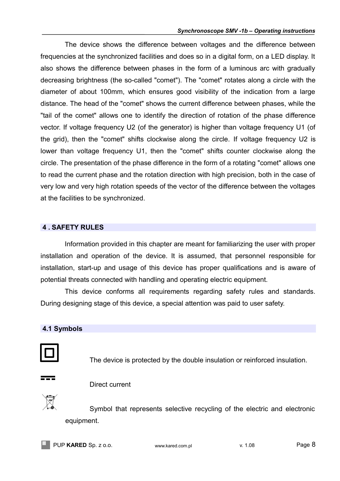#### *Synchronoscope SMV -1b – Operating instructions*

The device shows the difference between voltages and the difference between frequencies at the synchronized facilities and does so in a digital form, on a LED display. It also shows the difference between phases in the form of a luminous arc with gradually decreasing brightness (the so-called "comet"). The "comet" rotates along a circle with the diameter of about 100mm, which ensures good visibility of the indication from a large distance. The head of the "comet" shows the current difference between phases, while the "tail of the comet" allows one to identify the direction of rotation of the phase difference vector. If voltage frequency U2 (of the generator) is higher than voltage frequency U1 (of the grid), then the "comet" shifts clockwise along the circle. If voltage frequency U2 is lower than voltage frequency U1, then the "comet" shifts counter clockwise along the circle. The presentation of the phase difference in the form of a rotating "comet" allows one to read the current phase and the rotation direction with high precision, both in the case of very low and very high rotation speeds of the vector of the difference between the voltages at the facilities to be synchronized.

## **4 . SAFETY RULES**

Information provided in this chapter are meant for familiarizing the user with proper installation and operation of the device. It is assumed, that personnel responsible for installation, start-up and usage of this device has proper qualifications and is aware of potential threats connected with handling and operating electric equipment.

This device conforms all requirements regarding safety rules and standards. During designing stage of this device, a special attention was paid to user safety.

## **4.1 Symbols**



The device is protected by the double insulation or reinforced insulation.

#### Direct current

Symbol that represents selective recycling of the electric and electronic equipment.

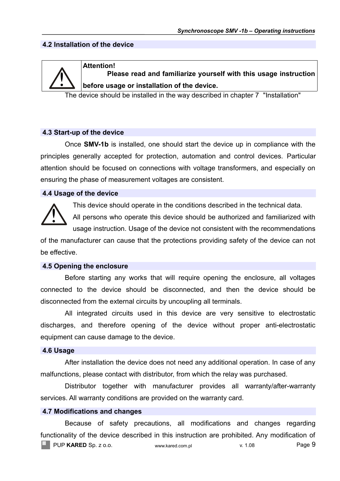## **4.2 Installation of the device**



#### **Attention!**

**Please read and familiarize yourself with this usage instruction before usage or installation of the device.**

The device should be installed in the way described in chapter 7 "Installation"

#### **4.3 Start-up of the device**

Once **SMV-1b** is installed, one should start the device up in compliance with the principles generally accepted for protection, automation and control devices. Particular attention should be focused on connections with voltage transformers, and especially on ensuring the phase of measurement voltages are consistent.

## **4.4 Usage of the device**



This device should operate in the conditions described in the technical data.

All persons who operate this device should be authorized and familiarized with usage instruction. Usage of the device not consistent with the recommendations

of the manufacturer can cause that the protections providing safety of the device can not be effective.

#### **4.5 Opening the enclosure**

Before starting any works that will require opening the enclosure, all voltages connected to the device should be disconnected, and then the device should be disconnected from the external circuits by uncoupling all terminals.

All integrated circuits used in this device are very sensitive to electrostatic discharges, and therefore opening of the device without proper anti-electrostatic equipment can cause damage to the device.

#### **4.6 Usage**

After installation the device does not need any additional operation. In case of any malfunctions, please contact with distributor, from which the relay was purchased.

Distributor together with manufacturer provides all warranty/after-warranty services. All warranty conditions are provided on the warranty card.

## **4.7 Modifications and changes**

Because of safety precautions, all modifications and changes regarding functionality of the device described in this instruction are prohibited. Any modification of **PUP KARED** Sp. z o.o. www.kared.com.pl v. 1.08 Page 9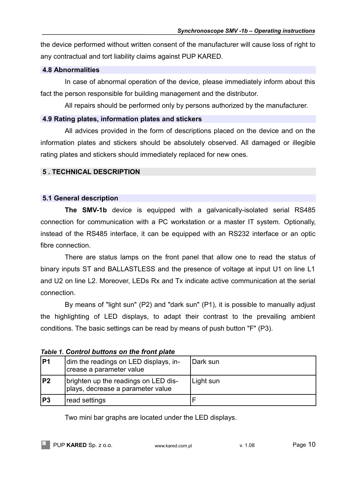the device performed without written consent of the manufacturer will cause loss of right to any contractual and tort liability claims against PUP KARED.

## **4.8 Abnormalities**

In case of abnormal operation of the device, please immediately inform about this fact the person responsible for building management and the distributor.

All repairs should be performed only by persons authorized by the manufacturer.

## **4.9 Rating plates, information plates and stickers**

All advices provided in the form of descriptions placed on the device and on the information plates and stickers should be absolutely observed. All damaged or illegible rating plates and stickers should immediately replaced for new ones.

## **5 . TECHNICAL DESCRIPTION**

## **5.1 General description**

**The SMV-1b** device is equipped with a galvanically-isolated serial RS485 connection for communication with a PC workstation or a master IT system. Optionally, instead of the RS485 interface, it can be equipped with an RS232 interface or an optic fibre connection.

There are status lamps on the front panel that allow one to read the status of binary inputs ST and BALLASTLESS and the presence of voltage at input U1 on line L1 and U2 on line L2. Moreover, LEDs Rx and Tx indicate active communication at the serial connection.

By means of "light sun" (P2) and "dark sun" (P1), it is possible to manually adjust the highlighting of LED displays, to adapt their contrast to the prevailing ambient conditions. The basic settings can be read by means of push button "F" (P3).

|     | Table 1. OUTH OF BUILDING OIT THE HUIL BRILE                              |           |  |
|-----|---------------------------------------------------------------------------|-----------|--|
| lP1 | dim the readings on LED displays, in-<br>crease a parameter value         | Dark sun  |  |
| P2  | brighten up the readings on LED dis-<br>plays, decrease a parameter value | Light sun |  |
| lP3 | read settings                                                             |           |  |

*Table 1. Control buttons on the front plate*

Two mini bar graphs are located under the LED displays.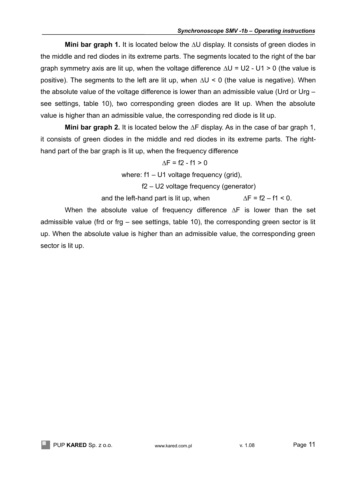**Mini bar graph 1.** It is located below the ∆U display. It consists of green diodes in the middle and red diodes in its extreme parts. The segments located to the right of the bar graph symmetry axis are lit up, when the voltage difference  $\Delta U = U2 - U1 > 0$  (the value is positive). The segments to the left are lit up, when ∆U < 0 (the value is negative). When the absolute value of the voltage difference is lower than an admissible value (Urd or Urg – see settings, table 10), two corresponding green diodes are lit up. When the absolute value is higher than an admissible value, the corresponding red diode is lit up.

**Mini bar graph 2.** It is located below the ∆F display. As in the case of bar graph 1, it consists of green diodes in the middle and red diodes in its extreme parts. The righthand part of the bar graph is lit up, when the frequency difference

$$
\Delta F = f2 - f1 > 0
$$

where: f1 – U1 voltage frequency (grid),

f2 – U2 voltage frequency (generator)

and the left-hand part is lit up, when  $\Delta F = f2 - f1 < 0$ .

When the absolute value of frequency difference ∆F is lower than the set admissible value (frd or frg – see settings, table 10), the corresponding green sector is lit up. When the absolute value is higher than an admissible value, the corresponding green sector is lit up.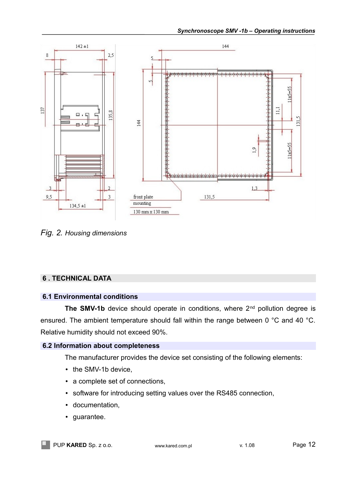

*Fig. 2. Housing dimensions*

## **6 . TECHNICAL DATA**

## **6.1 Environmental conditions**

**The SMV-1b** device should operate in conditions, where 2<sup>nd</sup> pollution degree is ensured. The ambient temperature should fall within the range between 0 °C and 40 °C. Relative humidity should not exceed 90%.

## **6.2 Information about completeness**

The manufacturer provides the device set consisting of the following elements:

- the SMV-1b device.
- a complete set of connections,
- software for introducing setting values over the RS485 connection,
- documentation,
- guarantee.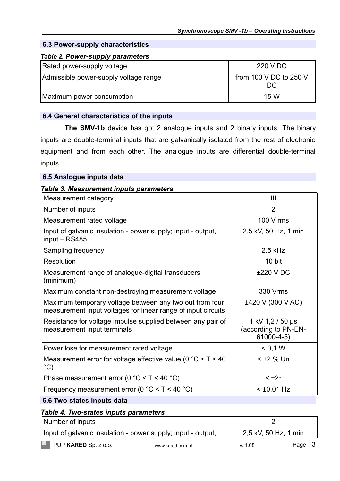## **6.3 Power-supply characteristics**

## *Table 2. Power-supply parameters*

| Rated power-supply voltage            | 220 V DC                      |
|---------------------------------------|-------------------------------|
| Admissible power-supply voltage range | from 100 V DC to 250 V<br>DC. |
| Maximum power consumption             | 15 W                          |

## **6.4 General characteristics of the inputs**

**The SMV-1b** device has got 2 analogue inputs and 2 binary inputs. The binary inputs are double-terminal inputs that are galvanically isolated from the rest of electronic equipment and from each other. The analogue inputs are differential double-terminal inputs.

## **6.5 Analogue inputs data**

#### *Table 3. Measurement inputs parameters*

| Measurement category                                                                                                     | Ш                                                           |
|--------------------------------------------------------------------------------------------------------------------------|-------------------------------------------------------------|
| Number of inputs                                                                                                         | $\overline{2}$                                              |
| Measurement rated voltage                                                                                                | 100 V rms                                                   |
| Input of galvanic insulation - power supply; input - output,<br>input $-$ RS485                                          | 2,5 kV, 50 Hz, 1 min                                        |
| Sampling frequency                                                                                                       | $2.5$ kHz                                                   |
| <b>Resolution</b>                                                                                                        | 10 bit                                                      |
| Measurement range of analogue-digital transducers<br>(minimum)                                                           | $±220$ V DC                                                 |
| Maximum constant non-destroying measurement voltage                                                                      | 330 Vrms                                                    |
| Maximum temporary voltage between any two out from four<br>measurement input voltages for linear range of input circuits | ±420 V (300 V AC)                                           |
| Resistance for voltage impulse supplied between any pair of<br>measurement input terminals                               | 1 kV 1,2 / 50 µs<br>(according to PN-EN-<br>$61000 - 4 - 5$ |
| Power lose for measurement rated voltage                                                                                 | < 0.1 W                                                     |
| Measurement error for voltage effective value (0 $^{\circ}$ C < T < 40<br>$^{\circ}$ C)                                  | $<$ $\pm$ 2 % Un                                            |
| Phase measurement error (0 $^{\circ}$ C < T < 40 $^{\circ}$ C)                                                           | $< \pm 2^{\circ}$                                           |
| Frequency measurement error ( $0^{\circ}$ C < T < 40 $^{\circ}$ C)                                                       | $<$ ±0,01 Hz                                                |

## **6.6 Two-states inputs data**

## *Table 4. Two-states inputs parameters*

| Number of inputs                                             |                  |                      |         |
|--------------------------------------------------------------|------------------|----------------------|---------|
| Input of galvanic insulation - power supply; input - output, |                  | 2,5 kV, 50 Hz, 1 min |         |
| PUP KARED Sp. z o.o.                                         | www.kared.com.pl | v. 1.08              | Page 13 |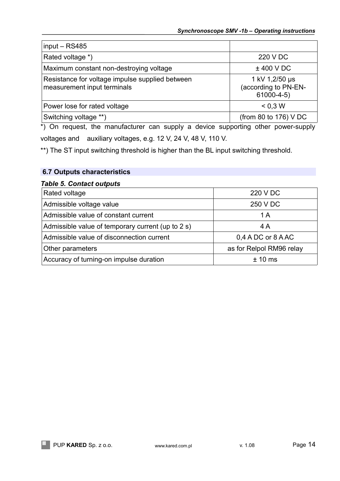| $input - RS485$                                                                |                                                           |
|--------------------------------------------------------------------------------|-----------------------------------------------------------|
| Rated voltage *)                                                               | 220 V DC                                                  |
| Maximum constant non-destroying voltage                                        | $±$ 400 V DC                                              |
| Resistance for voltage impulse supplied between<br>measurement input terminals | 1 kV 1,2/50 µs<br>(according to PN-EN-<br>$61000 - 4 - 5$ |
| Power lose for rated voltage                                                   | < 0.3 W                                                   |
| Switching voltage **)                                                          | (from 80 to 176) V DC                                     |

\*) On request, the manufacturer can supply a device supporting other power-supply voltages and auxiliary voltages, e.g. 12 V, 24 V, 48 V, 110 V.

\*\*) The ST input switching threshold is higher than the BL input switching threshold.

## **6.7 Outputs characteristics**

## *Table 5. Contact outputs*

| Rated voltage                                     | 220 V DC                 |
|---------------------------------------------------|--------------------------|
| Admissible voltage value                          | 250 V DC                 |
| Admissible value of constant current              | 1 A                      |
| Admissible value of temporary current (up to 2 s) | 4 A                      |
| Admissible value of disconnection current         | 0,4 A DC or 8 A AC       |
| Other parameters                                  | as for Relpol RM96 relay |
| Accuracy of turning-on impulse duration           | $± 10$ ms                |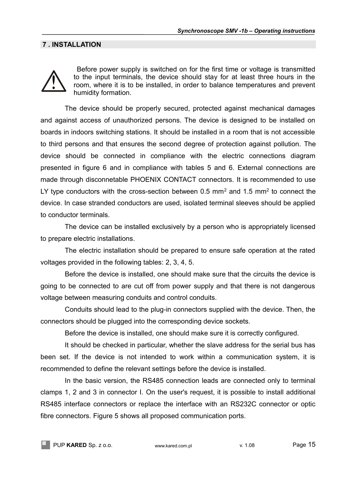## **7 . INSTALLATION**



Before power supply is switched on for the first time or voltage is transmitted to the input terminals, the device should stay for at least three hours in the room, where it is to be installed, in order to balance temperatures and prevent humidity formation.

The device should be properly secured, protected against mechanical damages and against access of unauthorized persons. The device is designed to be installed on boards in indoors switching stations. It should be installed in a room that is not accessible to third persons and that ensures the second degree of protection against pollution. The device should be connected in compliance with the electric connections diagram presented in figure 6 and in compliance with tables 5 and 6. External connections are made through disconnetable PHOENIX CONTACT connectors. It is recommended to use LY type conductors with the cross-section between 0.5 mm<sup>2</sup> and 1.5 mm<sup>2</sup> to connect the device. In case stranded conductors are used, isolated terminal sleeves should be applied to conductor terminals.

The device can be installed exclusively by a person who is appropriately licensed to prepare electric installations.

The electric installation should be prepared to ensure safe operation at the rated voltages provided in the following tables: 2, 3, 4, 5.

Before the device is installed, one should make sure that the circuits the device is going to be connected to are cut off from power supply and that there is not dangerous voltage between measuring conduits and control conduits.

Conduits should lead to the plug-in connectors supplied with the device. Then, the connectors should be plugged into the corresponding device sockets.

Before the device is installed, one should make sure it is correctly configured.

It should be checked in particular, whether the slave address for the serial bus has been set. If the device is not intended to work within a communication system, it is recommended to define the relevant settings before the device is installed.

In the basic version, the RS485 connection leads are connected only to terminal clamps 1, 2 and 3 in connector I. On the user's request, it is possible to install additional RS485 interface connectors or replace the interface with an RS232C connector or optic fibre connectors. Figure 5 shows all proposed communication ports.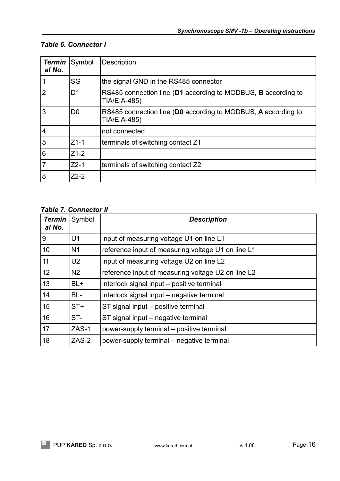## *Table 6. Connector I*

| <b>Termin</b><br>al No. | Symbol         | Description                                                                          |
|-------------------------|----------------|--------------------------------------------------------------------------------------|
|                         | SG             | the signal GND in the RS485 connector                                                |
|                         | D1             | RS485 connection line (D1 according to MODBUS, B according to<br><b>TIA/EIA-485)</b> |
| 3                       | D <sub>0</sub> | RS485 connection line (D0 according to MODBUS, A according to<br><b>TIA/EIA-485)</b> |
| $\overline{4}$          |                | not connected                                                                        |
| 5                       | $Z1-1$         | terminals of switching contact Z1                                                    |
| 6                       | $Z1-2$         |                                                                                      |
|                         | $Z2-1$         | terminals of switching contact Z2                                                    |
| 8                       | $Z2-2$         |                                                                                      |

## *Table 7. Connector II*

| Termin<br>al No. | Symbol         | <b>Description</b>                                 |  |
|------------------|----------------|----------------------------------------------------|--|
| 9                | U <sub>1</sub> | input of measuring voltage U1 on line L1           |  |
| 10               | N <sub>1</sub> | reference input of measuring voltage U1 on line L1 |  |
| 11               | U <sub>2</sub> | input of measuring voltage U2 on line L2           |  |
| 12               | N <sub>2</sub> | reference input of measuring voltage U2 on line L2 |  |
| 13               | BL+            | interlock signal input – positive terminal         |  |
| 14               | BL-            | interlock signal input – negative terminal         |  |
| 15               | $ST+$          | ST signal input - positive terminal                |  |
| 16               | ST-            | ST signal input – negative terminal                |  |
| 17               | ZAS-1          | power-supply terminal – positive terminal          |  |
| 18               | ZAS-2          | power-supply terminal – negative terminal          |  |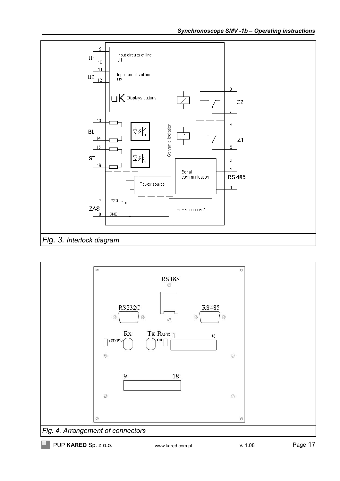

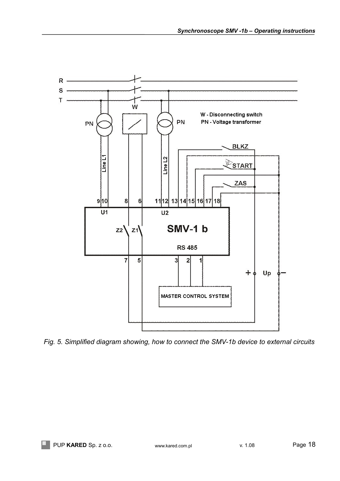

*Fig. 5. Simplified diagram showing, how to connect the SMV-1b device to external circuits*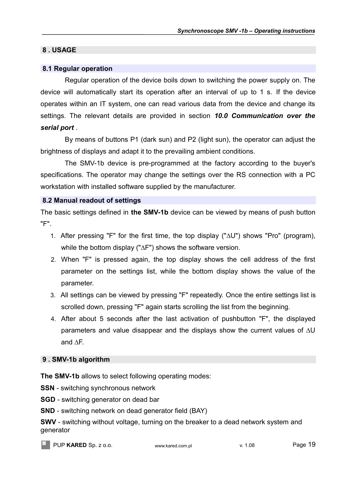## **8 . USAGE**

## **8.1 Regular operation**

Regular operation of the device boils down to switching the power supply on. The device will automatically start its operation after an interval of up to 1 s. If the device operates within an IT system, one can read various data from the device and change its settings. The relevant details are provided in section *10.0 Communication over the serial port* .

By means of buttons P1 (dark sun) and P2 (light sun), the operator can adjust the brightness of displays and adapt it to the prevailing ambient conditions.

The SMV-1b device is pre-programmed at the factory according to the buyer's specifications. The operator may change the settings over the RS connection with a PC workstation with installed software supplied by the manufacturer.

## **8.2 Manual readout of settings**

The basic settings defined in **the SMV-1b** device can be viewed by means of push button "F".

- 1. After pressing "F" for the first time, the top display ("∆U") shows "Pro" (program), while the bottom display ("∆F") shows the software version.
- 2. When "F" is pressed again, the top display shows the cell address of the first parameter on the settings list, while the bottom display shows the value of the parameter.
- 3. All settings can be viewed by pressing "F" repeatedly. Once the entire settings list is scrolled down, pressing "F" again starts scrolling the list from the beginning.
- 4. After about 5 seconds after the last activation of pushbutton "F", the displayed parameters and value disappear and the displays show the current values of ∆U and ∆F.

## **9 . SMV-1b algorithm**

**The SMV-1b** allows to select following operating modes:

**SSN** - switching synchronous network

**SGD** - switching generator on dead bar

**SND** - switching network on dead generator field (BAY)

**SWV** - switching without voltage, turning on the breaker to a dead network system and generator

PUP KARED Sp. z o.o. www.kared.com.pl v. 1.08 Page 19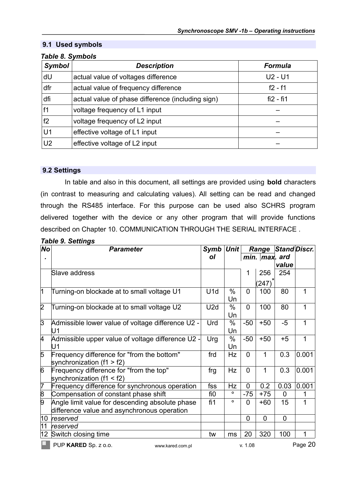## **9.1 Used symbols**

| <b>Symbol</b>  | <b>Description</b>                                | <b>Formula</b> |
|----------------|---------------------------------------------------|----------------|
| dU             | actual value of voltages difference               | $U2 - U1$      |
| dfr            | actual value of frequency difference              | $f2 - f1$      |
| dfi            | actual value of phase difference (including sign) | $fi2 - fi1$    |
| f1             | voltage frequency of L1 input                     |                |
| f2             | voltage frequency of L2 input                     |                |
| U <sub>1</sub> | effective voltage of L1 input                     |                |
| U <sub>2</sub> | effective voltage of L2 input                     |                |

## *Table 8. Symbols*

## **9.2 Settings**

In table and also in this document, all settings are provided using **bold** characters (in contrast to measuring and calculating values). All setting can be read and changed through the RS485 interface. For this purpose can be used also SCHRS program delivered together with the device or any other program that will provide functions described on Chapter 10. [COMMUNICATION THROUGH THE SERIAL INTERFACE](#page-27-0) .

| No             | <b>Parameter</b>                                  | Symb            | <b>Unit</b> | Range          |                    | Stand Discr.   |         |
|----------------|---------------------------------------------------|-----------------|-------------|----------------|--------------------|----------------|---------|
|                |                                                   | οl              |             |                | $min.$   max . ard |                |         |
|                |                                                   |                 |             |                |                    | value          |         |
|                | Slave address                                     |                 |             | 1              | 256                | 254            |         |
|                |                                                   |                 |             |                | (247)              |                |         |
| 1              | Turning-on blockade at to small voltage U1        | U <sub>1d</sub> | $\%$        | $\overline{0}$ | 100                | 80             | 1       |
|                |                                                   |                 | Un          |                |                    |                |         |
| $\overline{2}$ | Turning-on blockade at to small voltage U2        | U <sub>2d</sub> | $\%$        | $\overline{0}$ | 100                | 80             | 1       |
|                |                                                   |                 | Un          |                |                    |                |         |
| $\overline{3}$ | Admissible lower value of voltage difference U2 - | Urd             | $\%$        | $-50$          | $+50$              | $-5$           | 1       |
|                | U1                                                |                 | Un          |                |                    |                |         |
| 4              | Admissible upper value of voltage difference U2 - | Urg             | $\%$        | $-50$          | $+50$              | $+5$           | 1       |
|                | U1                                                |                 | Un          |                |                    |                |         |
| 5              | Frequency difference for "from the bottom"        | frd             | Hz          | $\overline{0}$ | 1                  | 0.3            | 0.001   |
|                | synchronization $(f1 > f2)$                       |                 |             |                |                    |                |         |
| 6              | Frequency difference for "from the top"           | frg             | Hz          | $\overline{0}$ | 1                  | 0.3            | 0.001   |
|                | synchronization $(f1 < f2)$                       |                 |             |                |                    |                |         |
| $\overline{7}$ | Frequency difference for synchronous operation    | fss             | Hz          | $\overline{0}$ | 0.2                | 0.03           | 0.001   |
| $\overline{8}$ | Compensation of constant phase shift              | fi0             | $\circ$     | $-75$          | $+75$              | $\mathbf{0}$   | 1       |
| $\overline{9}$ | Angle limit value for descending absolute phase   | fi1             | $\circ$     | $\overline{0}$ | $+60$              | 15             | 1       |
|                | difference value and asynchronous operation       |                 |             |                |                    |                |         |
| 10             | reserved                                          |                 |             | $\overline{0}$ | $\overline{0}$     | $\overline{0}$ |         |
| 11             | reserved                                          |                 |             |                |                    |                |         |
| $ 12\rangle$   | Switch closing time                               | tw              | ms          | 20             | 320                | 100            | 1       |
|                | PUP KARED Sp. z o.o.<br>www.kared.com.pl          |                 |             | v. 1.08        |                    |                | Page 20 |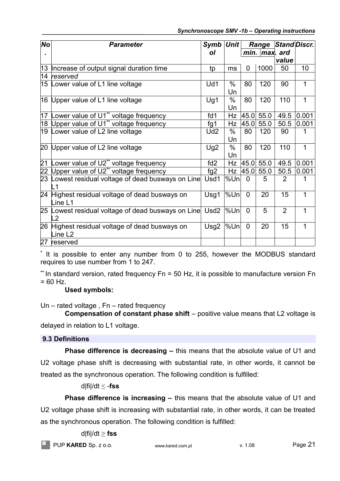| <b>No</b>       | <b>Parameter</b>                                                     | Symb             | <b>Unit</b>        |                | Range     |                | Stand Discr. |
|-----------------|----------------------------------------------------------------------|------------------|--------------------|----------------|-----------|----------------|--------------|
|                 |                                                                      | οl               | $min.$   max . ard |                |           |                |              |
|                 |                                                                      |                  |                    |                |           | value          |              |
|                 | 13   Increase of output signal duration time                         | tp               | ms                 | 0              | 1000      | 50             | 10           |
|                 | 14 reserved                                                          |                  |                    |                |           |                |              |
|                 | 15 Lower value of L1 line voltage                                    | Ud1              | $\%$<br>Un         | 80             | 120       | 90             | 1            |
|                 | 16 Upper value of L1 line voltage                                    | Ug1              | %<br>Un            | 80             | 120       | 110            | 1            |
| 17              | Lower value of U1** voltage frequency                                | f d1             | <b>Hz</b>          | 45.0           | 55.0      | 49.5           | 0.001        |
|                 | 18 Upper value of U1** voltage frequency                             | fg1              | Hz                 | 45.0           | 55.0      | 50.5           | 0.001        |
|                 | 19 Lower value of L2 line voltage                                    | Ud2              | $\%$               | 80             | 120       | 90             | 1            |
|                 |                                                                      |                  | Un                 |                |           |                |              |
|                 | 20 Upper value of L2 line voltage                                    | Ug2              | %                  | 80             | 120       | 110            | 1            |
|                 |                                                                      |                  | Un                 |                |           |                |              |
| 21              | Lower value of U2** voltage frequency                                | fd2              | Hz                 |                | 45.0 55.0 | 49.5           | 0.001        |
| $\overline{22}$ | Upper value of U2** voltage frequency                                | fg2              | Hz                 | 45.0           | 55.0      | 50.5           | 0.001        |
|                 | 23 Lowest residual voltage of dead busways on Line                   | Usd1             | %Un                | 0              | 5         | 2              |              |
|                 | 24 Highest residual voltage of dead busways on<br>Line L1            | Usg1             | %Un                | $\Omega$       | 20        | 15             | 1            |
|                 | 25 Lowest residual voltage of dead busways on Line<br>$\overline{2}$ | Usd <sub>2</sub> | %Un                | $\Omega$       | 5         | $\overline{2}$ | 1            |
|                 | 26 Highest residual voltage of dead busways on<br>Line L2            | Usg2             | %Un                | $\overline{0}$ | 20        | 15             | 1            |
|                 | 27 reserved                                                          |                  |                    |                |           |                |              |

**\*** It is possible to enter any number from 0 to 255, however the MODBUS standard requires to use number from 1 to 247.

**\*\*** In standard version, rated frequency Fn = 50 Hz, it is possible to manufacture version Fn  $= 60$  Hz.

**Used symbols:**

Un – rated voltage , Fn – rated frequency

**Compensation of constant phase shift** – positive value means that L2 voltage is delayed in relation to L1 voltage.

## **9.3 Definitions**

**Phase difference is decreasing –** this means that the absolute value of U1 and U2 voltage phase shift is decreasing with substantial rate, in other words, it cannot be treated as the synchronous operation. The following condition is fulfilled:

d|fi|/dt ≤ -**fss**

**Phase difference is increasing –** this means that the absolute value of U1 and U2 voltage phase shift is increasing with substantial rate, in other words, it can be treated as the synchronous operation. The following condition is fulfilled:

## d|fi|/dt ≥ **fss**

**PUP KARED** Sp. z o.o. www.kared.com.pl v. 1.08 Page 21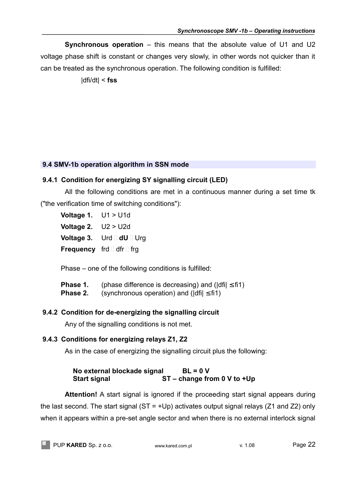**Synchronous operation** – this means that the absolute value of U1 and U2 voltage phase shift is constant or changes very slowly, in other words not quicker than it can be treated as the synchronous operation. The following condition is fulfilled:

|dfi/dt| < **fss**

## **9.4 SMV-1b operation algorithm in SSN mode**

## **9.4.1 Condition for energizing SY signalling circuit (LED)**

All the following conditions are met in a continuous manner during a set time tk ("the verification time of switching conditions"):

- **Voltage 1.** U1 > U1d
- **Voltage 2.** U2 > U2d
- **Voltage 3.** Urd  $\Box$  dU  $\Box$  Urg
- **Frequency** frd dfr  $\Box$  frg

Phase – one of the following conditions is fulfilled:

- **Phase 1.** (phase difference is decreasing) and ( $|dfi| \leq f$ i1)
- **Phase 2.** (synchronous operation) and ( $\text{d}$ fii)  $\leq$  fi1)

## **9.4.2 Condition for de-energizing the signalling circuit**

Any of the signalling conditions is not met.

## **9.4.3 Conditions for energizing relays Z1, Z2**

As in the case of energizing the signalling circuit plus the following:

## **No external blockade signal BL = 0 V Start signal ST – change from 0 V to +Up**

**Attention!** A start signal is ignored if the proceeding start signal appears during the last second. The start signal  $(ST = +Up)$  activates output signal relays (Z1 and Z2) only when it appears within a pre-set angle sector and when there is no external interlock signal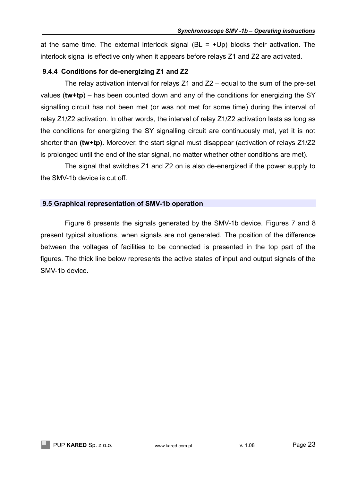at the same time. The external interlock signal ( $BL = +Up$ ) blocks their activation. The interlock signal is effective only when it appears before relays Z1 and Z2 are activated.

## **9.4.4 Conditions for de-energizing Z1 and Z2**

The relay activation interval for relays Z1 and Z2 – equal to the sum of the pre-set values (**tw+tp**) – has been counted down and any of the conditions for energizing the SY signalling circuit has not been met (or was not met for some time) during the interval of relay Z1/Z2 activation. In other words, the interval of relay Z1/Z2 activation lasts as long as the conditions for energizing the SY signalling circuit are continuously met, yet it is not shorter than **(tw+tp)**. Moreover, the start signal must disappear (activation of relays Z1/Z2 is prolonged until the end of the star signal, no matter whether other conditions are met).

The signal that switches Z1 and Z2 on is also de-energized if the power supply to the SMV-1b device is cut off.

## **9.5 Graphical representation of SMV-1b operation**

Figure 6 presents the signals generated by the SMV-1b device. Figures 7 and 8 present typical situations, when signals are not generated. The position of the difference between the voltages of facilities to be connected is presented in the top part of the figures. The thick line below represents the active states of input and output signals of the SMV-1b device.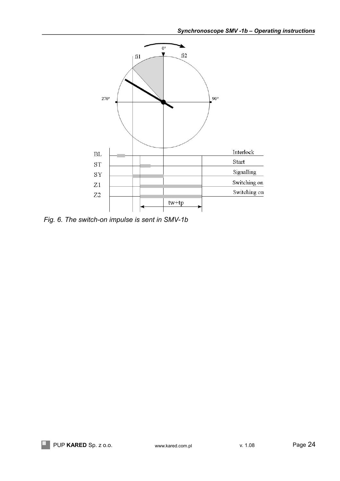

*Fig. 6. The switch-on impulse is sent in SMV-1b*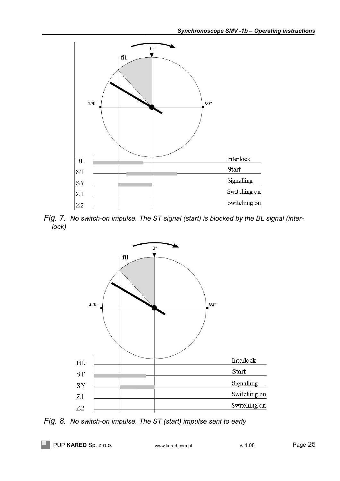

*Fig. 7. No switch-on impulse. The ST signal (start) is blocked by the BL signal (interlock)*



*Fig. 8. No switch-on impulse. The ST (start) impulse sent to early*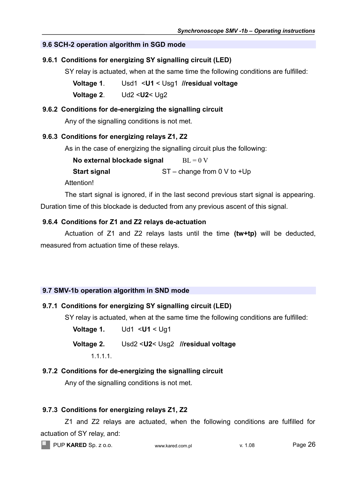## **9.6 SCH-2 operation algorithm in SGD mode**

## **9.6.1 Conditions for energizing SY signalling circuit (LED)**

SY relay is actuated, when at the same time the following conditions are fulfilled:

- **Voltage 1**. Usd1 <**U1** < Usg1 **//residual voltage**
- **Voltage 2**. Ud2 <**U2**< Ug2

## **9.6.2 Conditions for de-energizing the signalling circuit**

Any of the signalling conditions is not met.

## **9.6.3 Conditions for energizing relays Z1, Z2**

As in the case of energizing the signalling circuit plus the following:

| No external blockade signal | $BL = 0 V$                    |
|-----------------------------|-------------------------------|
| <b>Start signal</b>         | $ST - change from 0 V to +Up$ |

Attention!

The start signal is ignored, if in the last second previous start signal is appearing. Duration time of this blockade is deducted from any previous ascent of this signal.

## **9.6.4 Conditions for Z1 and Z2 relays de-actuation**

Actuation of Z1 and Z2 relays lasts until the time **(tw+tp)** will be deducted, measured from actuation time of these relays.

## **9.7 SMV-1b operation algorithm in SND mode**

## **9.7.1 Conditions for energizing SY signalling circuit (LED)**

SY relay is actuated, when at the same time the following conditions are fulfilled:

**Voltage 1.** Ud1 <**U1** < Ug1 **Voltage 2.** Usd2 <**U2**< Usg2 **//residual voltage**

## 1.1.1.1.

## **9.7.2 Conditions for de-energizing the signalling circuit**

Any of the signalling conditions is not met.

## **9.7.3 Conditions for energizing relays Z1, Z2**

Z1 and Z2 relays are actuated, when the following conditions are fulfilled for actuation of SY relay, and:

**PUP KARED** Sp. z o.o. www.kared.com.pl v. 1.08 v. 1.08 Page 26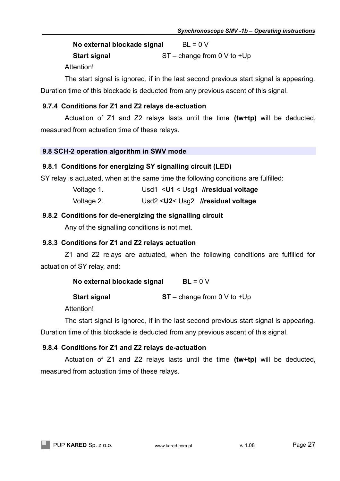**No external blockade signal** BL = 0 V **Start signal** ST – change from 0 V to +Up

**Attention!** 

The start signal is ignored, if in the last second previous start signal is appearing. Duration time of this blockade is deducted from any previous ascent of this signal.

## **9.7.4 Conditions for Z1 and Z2 relays de-actuation**

Actuation of Z1 and Z2 relays lasts until the time **(tw+tp)** will be deducted, measured from actuation time of these relays.

## **9.8 SCH-2 operation algorithm in SWV mode**

## **9.8.1 Conditions for energizing SY signalling circuit (LED)**

SY relay is actuated, when at the same time the following conditions are fulfilled:

| Voltage 1. |  | Usd1 <u1 <="" residual="" th="" usg1="" voltage<=""></u1> |
|------------|--|-----------------------------------------------------------|
|------------|--|-----------------------------------------------------------|

Voltage 2. Usd2 <**U2**< Usg2 **//residual voltage**

## **9.8.2 Conditions for de-energizing the signalling circuit**

Any of the signalling conditions is not met.

## **9.8.3 Conditions for Z1 and Z2 relays actuation**

Z1 and Z2 relays are actuated, when the following conditions are fulfilled for actuation of SY relay, and:

| No external blockade signal | $BL = 0 V$                    |
|-----------------------------|-------------------------------|
| <b>Start signal</b>         | $ST - change from 0 V to +Up$ |

Attention!

The start signal is ignored, if in the last second previous start signal is appearing. Duration time of this blockade is deducted from any previous ascent of this signal.

## **9.8.4 Conditions for Z1 and Z2 relays de-actuation**

Actuation of Z1 and Z2 relays lasts until the time **(tw+tp)** will be deducted, measured from actuation time of these relays.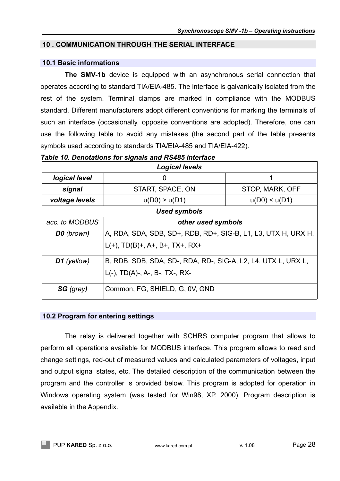## <span id="page-27-0"></span> **10 . COMMUNICATION THROUGH THE SERIAL INTERFACE**

## **10.1 Basic informations**

**The SMV-1b** device is equipped with an asynchronous serial connection that operates according to standard TIA/EIA-485. The interface is galvanically isolated from the rest of the system. Terminal clamps are marked in compliance with the MODBUS standard. Different manufacturers adopt different conventions for marking the terminals of such an interface (occasionally, opposite conventions are adopted). Therefore, one can use the following table to avoid any mistakes (the second part of the table presents symbols used according to standards TIA/EIA-485 and TIA/EIA-422).

| Table 10. Denotations for signals and RS485 interface |  |  |  |  |  |
|-------------------------------------------------------|--|--|--|--|--|
|-------------------------------------------------------|--|--|--|--|--|

| <b>Logical levels</b>                       |                                                               |                 |  |  |  |  |
|---------------------------------------------|---------------------------------------------------------------|-----------------|--|--|--|--|
| logical level<br>1<br>0                     |                                                               |                 |  |  |  |  |
| signal                                      | START, SPACE, ON                                              | STOP, MARK, OFF |  |  |  |  |
| voltage levels                              | u(D0) < u(D1)                                                 |                 |  |  |  |  |
|                                             | Used symbols                                                  |                 |  |  |  |  |
| acc. to MODBUS<br>other used symbols        |                                                               |                 |  |  |  |  |
| <b>D0</b> (brown)                           | A, RDA, SDA, SDB, SD+, RDB, RD+, SIG-B, L1, L3, UTX H, URX H, |                 |  |  |  |  |
|                                             | $L(+)$ , TD(B)+, A+, B+, TX+, RX+                             |                 |  |  |  |  |
| D1 (yellow)                                 | B, RDB, SDB, SDA, SD-, RDA, RD-, SIG-A, L2, L4, UTX L, URX L, |                 |  |  |  |  |
|                                             | $L(-)$ , TD(A)-, A-, B-, TX-, RX-                             |                 |  |  |  |  |
| Common, FG, SHIELD, G, 0V, GND<br>SG (grey) |                                                               |                 |  |  |  |  |

## **10.2 Program for entering settings**

The relay is delivered together with SCHRS computer program that allows to perform all operations available for MODBUS interface. This program allows to read and change settings, red-out of measured values and calculated parameters of voltages, input and output signal states, etc. The detailed description of the communication between the program and the controller is provided below. This program is adopted for operation in Windows operating system (was tested for Win98, XP, 2000). Program description is available in the Appendix.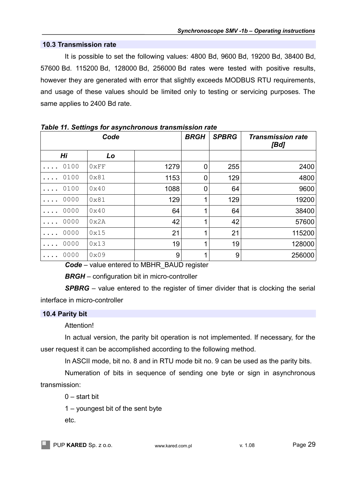## **10.3 Transmission rate**

It is possible to set the following values: 4800 Bd, 9600 Bd, 19200 Bd, 38400 Bd, 57600 Bd. 115200 Bd, 128000 Bd, 256000 Bd rates were tested with positive results, however they are generated with error that slightly exceeds MODBUS RTU requirements, and usage of these values should be limited only to testing or servicing purposes. The same applies to 2400 Bd rate.

|      | <u>rapid The Octomyo Tor appromishous transmission rate</u> | <b>BRGH</b> | <b>SPBRG</b> | <b>Transmission rate</b><br>[Bd] |        |
|------|-------------------------------------------------------------|-------------|--------------|----------------------------------|--------|
| Hi   | Lo                                                          |             |              |                                  |        |
| 0100 | 0xFF                                                        | 1279        | 0            | 255                              | 2400   |
| 0100 | 0x81                                                        | 1153        | 0            | 129                              | 4800   |
| 0100 | 0x40                                                        | 1088        | 0            | 64                               | 9600   |
| 0000 | 0x81                                                        | 129         |              | 129                              | 19200  |
| 0000 | 0x40                                                        | 64          |              | 64                               | 38400  |
| 0000 | 0x2A                                                        | 42          |              | 42                               | 57600  |
| 0000 | 0x15                                                        | 21          |              | 21                               | 115200 |
| 0000 | 0x13                                                        | 19          |              | 19                               | 128000 |
| 0000 | 0x09<br>$\sim$                                              | 9<br>       | $\sim$       | 9                                | 256000 |

*Table 11. Settings for asynchronous transmission rate*

*Code* – value entered to MBHR\_BAUD register

*BRGH* – configuration bit in micro-controller

**SPBRG** – value entered to the register of timer divider that is clocking the serial interface in micro-controller

## **10.4 Parity bit**

Attention!

In actual version, the parity bit operation is not implemented. If necessary, for the user request it can be accomplished according to the following method.

In ASCII mode, bit no. 8 and in RTU mode bit no. 9 can be used as the parity bits.

Numeration of bits in sequence of sending one byte or sign in asynchronous transmission:

0 – start bit

1 – youngest bit of the sent byte

etc.

PUP KARED Sp. z o.o. www.kared.com.pl v. 1.08 Page 29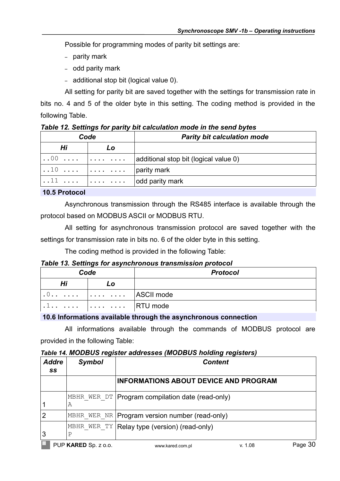Possible for programming modes of parity bit settings are:

- parity mark
- odd parity mark
- additional stop bit (logical value 0).

All setting for parity bit are saved together with the settings for transmission rate in bits no. 4 and 5 of the older byte in this setting. The coding method is provided in the following Table.

|      | Table 12. Settings for partly bit calculation mode in the send bytes |                                                                           |  |  |  |  |
|------|----------------------------------------------------------------------|---------------------------------------------------------------------------|--|--|--|--|
| Code |                                                                      | <b>Parity bit calculation mode</b>                                        |  |  |  |  |
| Hi   | Lo                                                                   |                                                                           |  |  |  |  |
|      | $\ldots 00$ $\vert \ldots \vert$ $\vert$                             | additional stop bit (logical value 0)                                     |  |  |  |  |
|      | 10                                                                   | parity mark                                                               |  |  |  |  |
|      |                                                                      | $\vert \ldots \vert$ $\ldots$ $\vert \ldots \ldots \vert$ odd parity mark |  |  |  |  |

*Table 12. Settings for parity bit calculation mode in the send bytes*

 **10.5 Protocol**

Asynchronous transmission through the RS485 interface is available through the protocol based on MODBUS ASCII or MODBUS RTU.

All setting for asynchronous transmission protocol are saved together with the settings for transmission rate in bits no. 6 of the older byte in this setting.

The coding method is provided in the following Table:

## *Table 13. Settings for asynchronous transmission protocol*

| Code |                                                | <b>Protocol</b> |
|------|------------------------------------------------|-----------------|
| Hi   | LO                                             |                 |
|      | $.0$ $.\dots$ $.\dots$ $.\dots$ $ $ ASCII mode |                 |
|      | $\cdots$ $\cdots$ $\cdots$ $\cdots$ RTU mode   |                 |

## **10.6 Informations available through the asynchronous connection**

All informations available through the commands of MODBUS protocol are provided in the following Table:

<span id="page-29-0"></span>*Table 14. MODBUS register addresses (MODBUS holding registers)*

| <b>Addre</b><br>SS | <b>Symbol</b>        | <b>Content</b>                                   |         |         |
|--------------------|----------------------|--------------------------------------------------|---------|---------|
|                    |                      | <b>INFORMATIONS ABOUT DEVICE AND PROGRAM</b>     |         |         |
|                    | MBHR WER DT <br>Α    | Program compilation date (read-only)             |         |         |
| $\overline{2}$     |                      | MBHR WER NR   Program version number (read-only) |         |         |
| 3                  | MBHR WER TY<br>P     | Relay type (version) (read-only)                 |         |         |
|                    | PUP KARED Sp. z o.o. | www.kared.com.pl                                 | v. 1.08 | Page 30 |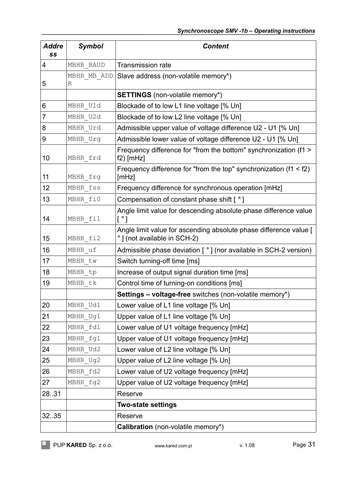| <b>Addre</b><br>SS | <b>Symbol</b> | <b>Content</b>                                                                                            |
|--------------------|---------------|-----------------------------------------------------------------------------------------------------------|
| 4                  | MBHR BAUD     | <b>Transmission rate</b>                                                                                  |
|                    | MBHR MB ADD   | Slave address (non-volatile memory*)                                                                      |
| 5                  | R             |                                                                                                           |
|                    |               | <b>SETTINGS</b> (non-volatile memory*)                                                                    |
| 6                  | MBHR U1d      | Blockade of to low L1 line voltage [% Un]                                                                 |
| 7                  | MBHR U2d      | Blockade of to low L2 line voltage [% Un]                                                                 |
| 8                  | MBHR Urd      | Admissible upper value of voltage difference U2 - U1 [% Un]                                               |
| 9                  | MBHR Urg      | Admissible lower value of voltage difference U2 - U1 [% Un]                                               |
| 10                 | MBHR frd      | Frequency difference for "from the bottom" synchronization (f1 ><br>$f2)$ [mHz]                           |
| 11                 | MBHR frg      | Frequency difference for "from the top" synchronization ( $f1 < f2$ )<br>[mHz]                            |
| 12                 | MBHR fss      | Frequency difference for synchronous operation [mHz]                                                      |
| 13                 | MBHR fi0      | Compensation of constant phase shift $\lceil \cdot \rceil$                                                |
| 14                 | MBHR fil      | Angle limit value for descending absolute phase difference value<br>$\lceil \, \degree \, \rceil$         |
| 15                 | MBHR fi2      | Angle limit value for ascending absolute phase difference value [<br>$\degree$ ] (not available in SCH-2) |
| 16                 | MBHR uf       | Admissible phase deviation $[°]$ (nor available in SCH-2 version)                                         |
| 17                 | MBHR tw       | Switch turning-off time [ms]                                                                              |
| 18                 | MBHR tp       | Increase of output signal duration time [ms]                                                              |
| 19                 | MBHR tk       | Control time of turning-on conditions [ms]                                                                |
|                    |               | <b>Settings - voltage-free</b> switches (non-volatile memory*)                                            |
| 20                 | MBHR Ud1      | Lower value of L1 line voltage [% Un]                                                                     |
| 21                 | MBHR Ug1      | Upper value of L1 line voltage [% Un]                                                                     |
| 22                 | MBHR fd1      | Lower value of U1 voltage frequency [mHz]                                                                 |
| 23                 | MBHR fg1      | Upper value of U1 voltage frequency [mHz]                                                                 |
| 24                 | MBHR Ud2      | Lower value of L2 line voltage [% Un]                                                                     |
| 25                 | MBHR Ug2      | Upper value of L2 line voltage [% Un]                                                                     |
| 26                 | MBHR fd2      | Lower value of U2 voltage frequency [mHz]                                                                 |
| 27                 | MBHR fg2      | Upper value of U2 voltage frequency [mHz]                                                                 |
| 28.31              |               | Reserve                                                                                                   |
|                    |               | <b>Two-state settings</b>                                                                                 |
| 3235               |               | Reserve                                                                                                   |
|                    |               | Calibration (non-volatile memory*)                                                                        |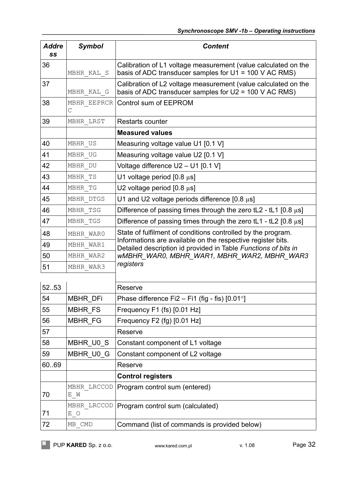| <b>Addre</b><br>SS | <b>Symbol</b>               | <b>Content</b>                                                                                                                |
|--------------------|-----------------------------|-------------------------------------------------------------------------------------------------------------------------------|
| 36                 | MBHR KAL S                  | Calibration of L1 voltage measurement (value calculated on the<br>basis of ADC transducer samples for $U1 = 100$ V AC RMS)    |
| 37                 | MBHR KAL G                  | Calibration of L2 voltage measurement (value calculated on the<br>basis of ADC transducer samples for $U2 = 100$ V AC RMS)    |
| 38                 | MBHR EEPRCR<br>$\mathsf{C}$ | Control sum of EEPROM                                                                                                         |
| 39                 | MBHR LRST                   | Restarts counter                                                                                                              |
|                    |                             | <b>Measured values</b>                                                                                                        |
| 40                 | MBHR US                     | Measuring voltage value U1 [0.1 V]                                                                                            |
| 41                 | MBHR UG                     | Measuring voltage value U2 [0.1 V]                                                                                            |
| 42                 | MBHR DU                     | Voltage difference U2 - U1 [0.1 V]                                                                                            |
| 43                 | MBHR TS                     | U1 voltage period $[0.8 \mu s]$                                                                                               |
| 44                 | MBHR TG                     | U2 voltage period $[0.8 \mu s]$                                                                                               |
| 45                 | MBHR DTGS                   | U1 and U2 voltage periods difference $[0.8 \mu s]$                                                                            |
| 46                 | MBHR TSG                    | Difference of passing times through the zero tL2 - tL1 [0.8 $\mu$ s]                                                          |
| 47                 | MBHR TGS                    | Difference of passing times through the zero tL1 - tL2 $[0.8 \mu s]$                                                          |
| 48                 | MBHR WARO                   | State of fulfilment of conditions controlled by the program.                                                                  |
| 49                 | MBHR WAR1                   | Informations are available on the respective register bits.<br>Detailed description id provided in Table Functions of bits in |
| 50                 | MBHR WAR2                   | WMBHR WARO, MBHR WAR1, MBHR WAR2, MBHR WAR3                                                                                   |
| 51                 | MBHR WAR3                   | registers                                                                                                                     |
| 52.53              |                             | Reserve                                                                                                                       |
| 54                 | <b>MBHR DFi</b>             | Phase difference Fi2 - Fi1 (fig - fis) $[0.01^{\circ}]$                                                                       |
| 55                 | MBHR FS                     | Frequency F1 (fs) [0.01 Hz]                                                                                                   |
| 56                 | <b>MBHR FG</b>              | Frequency F2 (fg) [0.01 Hz]                                                                                                   |
| 57                 |                             | Reserve                                                                                                                       |
| 58                 | MBHR U0 S                   | Constant component of L1 voltage                                                                                              |
| 59                 | MBHR_U0_G                   | Constant component of L2 voltage                                                                                              |
| 60.69              |                             | Reserve                                                                                                                       |
|                    |                             | <b>Control registers</b>                                                                                                      |
| 70                 | MBHR LRCCOD<br>E M          | Program control sum (entered)                                                                                                 |
| 71                 | MBHR LRCCOD<br>E O          | Program control sum (calculated)                                                                                              |
| 72                 | MB CMD                      | Command (list of commands is provided below)                                                                                  |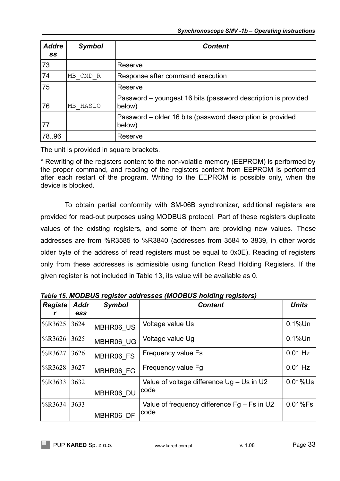| <b>Addre</b><br>SS | <b>Symbol</b> | <b>Content</b>                                                          |
|--------------------|---------------|-------------------------------------------------------------------------|
| 73                 |               | Reserve                                                                 |
| 74                 | MB CMD R      | Response after command execution                                        |
| 75                 |               | Reserve                                                                 |
| 76                 | MB HASLO      | Password – youngest 16 bits (password description is provided<br>below) |
| 77                 |               | Password – older 16 bits (password description is provided<br>below)    |
| 78.96              |               | Reserve                                                                 |

The unit is provided in square brackets.

\* Rewriting of the registers content to the non-volatile memory (EEPROM) is performed by the proper command, and reading of the registers content from EEPROM is performed after each restart of the program. Writing to the EEPROM is possible only, when the device is blocked.

To obtain partial conformity with SM-06B synchronizer, additional registers are provided for read-out purposes using MODBUS protocol. Part of these registers duplicate values of the existing registers, and some of them are providing new values. These addresses are from %R3585 to %R3840 (addresses from 3584 to 3839, in other words older byte of the address of read registers must be equal to 0x0E). Reading of registers only from these addresses is admissible using function Read Holding Registers. If the given register is not included in Table 13, its value will be available as 0.

| <b>Registe</b> | <b>Addr</b><br>ess | <b>Symbol</b> | <b>Content</b>                                        | <b>Units</b> |
|----------------|--------------------|---------------|-------------------------------------------------------|--------------|
| %R3625         | 3624               | MBHR06 US     | Voltage value Us                                      | $0.1\%$ Un   |
| $\%$ R3626     | 3625               | MBHR06 UG     | Voltage value Ug                                      | $0.1\%$ Un   |
| %R3627         | 3626               | MBHR06 FS     | Frequency value Fs                                    | $0.01$ Hz    |
| %R3628         | 3627               | MBHR06 FG     | Frequency value Fg                                    | $0.01$ Hz    |
| %R3633         | 3632               | MBHR06 DU     | Value of voltage difference Ug - Us in U2<br>code     | $0.01\%$ Us  |
| %R3634         | 3633               | MBHR06 DF     | Value of frequency difference $Fg - Fs$ in U2<br>code | 0.01%Fs      |

*Table 15. MODBUS register addresses (MODBUS holding registers)*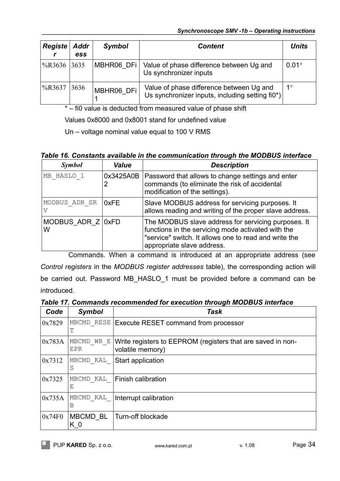| Registe     | <b>Addr</b><br><b>ess</b> | <b>Symbol</b> | <b>Content</b>                                                                              | <b>Units</b> |
|-------------|---------------------------|---------------|---------------------------------------------------------------------------------------------|--------------|
| %R3636 3635 |                           |               | MBHR06 DFi   Value of phase difference between Ug and<br>Us synchronizer inputs             | $0.01^\circ$ |
| $\%$ R3637  | 3636                      | MBHR06 DFi    | Value of phase difference between Ug and<br>Us synchronizer inputs, including setting fi0*) | $1^{\circ}$  |

\* – fi0 value is deducted from measured value of phase shift

Values 0x8000 and 0x8001 stand for undefined value

Un – voltage nominal value equal to 100 V RMS

## *Table 16. Constants available in the communication through the MODBUS interface*

| <b>Symbol</b>              | Value          | <b>Description</b>                                                                                                                                                                               |
|----------------------------|----------------|--------------------------------------------------------------------------------------------------------------------------------------------------------------------------------------------------|
| MB HASLO 1                 | 0x3425A0B<br>2 | Password that allows to change settings and enter<br>commands (to eliminate the risk of accidental<br>modification of the settings).                                                             |
| MODBUS ADR SR              | 0xFE           | Slave MODBUS address for servicing purposes. It<br>allows reading and writing of the proper slave address.                                                                                       |
| MODBUS ADR $Z$   0xFD<br>W |                | The MODBUS slave address for servicing purposes. It<br>functions in the servicing mode activated with the<br>"service" switch. It allows one to read and write the<br>appropriate slave address. |

Commands. When a command is introduced at an appropriate address (see *Control registers* in the *MODBUS register addresses* table), the corresponding action will be carried out. Password MB\_HASLO\_1 must be provided before a command can be introduced.

*Table 17. Commands recommended for execution through MODBUS interface*

| Code   | <b>Symbol</b>     | Task                                                                            |
|--------|-------------------|---------------------------------------------------------------------------------|
| 0x7829 | MBCMD RESE<br>т   | Execute RESET command from processor                                            |
| 0x783A | MBCMD WR E<br>EPR | Write registers to EEPROM (registers that are saved in non-<br>volatile memory) |
| 0x7312 | MBCMD KAL<br>S    | Start application                                                               |
| 0x7325 | MBCMD KAL<br>Ε    | Finish calibration                                                              |
| 0x735A | MBCMD KAL<br>B    | Interrupt calibration                                                           |
| 0x74F0 | MBCMD BL<br>K 0   | Turn-off blockade                                                               |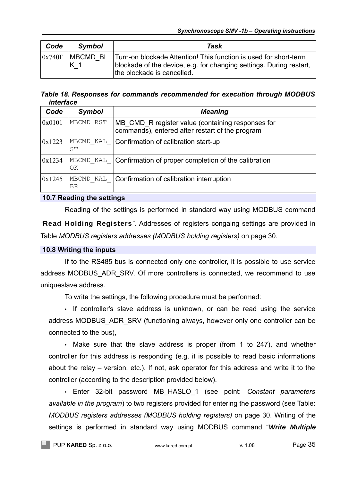| Code   | <b>Symbol</b>               | Task                                                                                                                                                                  |
|--------|-----------------------------|-----------------------------------------------------------------------------------------------------------------------------------------------------------------------|
| 0x740F | IMBCMD BL<br>K <sub>1</sub> | Turn-on blockade Attention! This function is used for short-term<br>blockade of the device, e.g. for changing settings. During restart,<br>the blockade is cancelled. |

*Table 18. Responses for commands recommended for execution through MODBUS interface*

| Code   | <b>Symbol</b>   | <b>Meaning</b>                                                                                       |
|--------|-----------------|------------------------------------------------------------------------------------------------------|
| 0x0101 | MBCMD RST       | MB CMD R register value (containing responses for<br>commands), entered after restart of the program |
| 0x1223 | MBCMD KAL<br>SТ | Confirmation of calibration start-up                                                                 |
| 0x1234 | MBCMD KAL<br>OK | Confirmation of proper completion of the calibration                                                 |
| 0x1245 | MBCMD KAL<br>ΒR | Confirmation of calibration interruption                                                             |

## **10.7 Reading the settings**

Reading of the settings is performed in standard way using MODBUS command "**Read Holding Registers**". Addresses of registers congaing settings are provided in Table *MODBUS registers addresses (MODBUS holding registers)* on page [30.](#page-29-0)

## **10.8 Writing the inputs**

If to the RS485 bus is connected only one controller, it is possible to use service address MODBUS ADR\_SRV. Of more controllers is connected, we recommend to use uniqueslave address.

To write the settings, the following procedure must be performed:

• If controller's slave address is unknown, or can be read using the service address MODBUS ADR SRV (functioning always, however only one controller can be connected to the bus),

• Make sure that the slave address is proper (from 1 to 247), and whether controller for this address is responding (e.g. it is possible to read basic informations about the relay – version, etc.). If not, ask operator for this address and write it to the controller (according to the description provided below).

• Enter 32-bit password MB\_HASLO\_1 (see point: *Constant parameters available in the program*) to two registers provided for entering the password (see Table: *MODBUS registers addresses (MODBUS holding registers)* on page [30.](#page-29-0) Writing of the settings is performed in standard way using MODBUS command "**Write Multiple**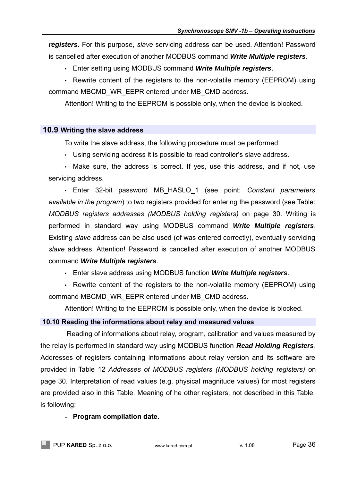**registers**. For this purpose, *slave* servicing address can be used. Attention! Password is cancelled after execution of another MODBUS command **Write Multiple registers**.

• Enter setting using MODBUS command **Write Multiple registers**.

• Rewrite content of the registers to the non-volatile memory (EEPROM) using command MBCMD\_WR\_EEPR entered under MB\_CMD address.

Attention! Writing to the EEPROM is possible only, when the device is blocked.

## **10.9 Writing the slave address**

To write the slave address, the following procedure must be performed:

• Using servicing address it is possible to read controller's slave address.

• Make sure, the address is correct. If yes, use this address, and if not, use servicing address.

• Enter 32-bit password MB\_HASLO\_1 (see point: *Constant parameters available in the program*) to two registers provided for entering the password (see Table: *MODBUS registers addresses (MODBUS holding registers)* on page [30.](#page-29-0) Writing is performed in standard way using MODBUS command **Write Multiple registers**. Existing *slave* address can be also used (of was entered correctly), eventually servicing *slave* address. Attention! Password is cancelled after execution of another MODBUS command **Write Multiple registers**.

• Enter slave address using MODBUS function **Write Multiple registers**.

• Rewrite content of the registers to the non-volatile memory (EEPROM) using command MBCMD\_WR\_EEPR entered under MB\_CMD address.

Attention! Writing to the EEPROM is possible only, when the device is blocked.

## **10.10 Reading the informations about relay and measured values**

 Reading of informations about relay, program, calibration and values measured by the relay is performed in standard way using MODBUS function **Read Holding Registers**. Addresses of registers containing informations about relay version and its software are provided in Table 12 *Addresses of MODBUS registers (MODBUS holding registers)* on page [30.](#page-29-0) Interpretation of read values (e.g. physical magnitude values) for most registers are provided also in this Table. Meaning of he other registers, not described in this Table, is following:

## – **Program compilation date.**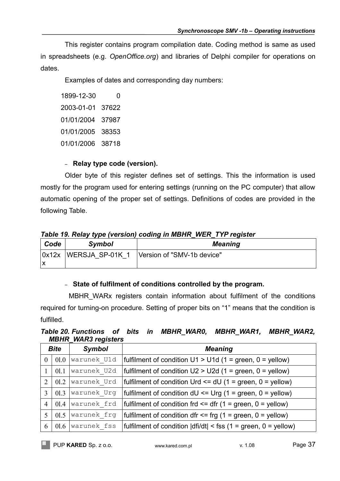This register contains program compilation date. Coding method is same as used in spreadsheets (e.g. *OpenOffice.org*) and libraries of Delphi compiler for operations on dates.

Examples of dates and corresponding day numbers:

1899-12-30 0 2003-01-01 37622 01/01/2004 37987 01/01/2005 38353 01/01/2006 38718

## – **Relay type code (version).**

Older byte of this register defines set of settings. This the information is used mostly for the program used for entering settings (running on the PC computer) that allow automatic opening of the proper set of settings. Definitions of codes are provided in the following Table.

## *Table 19. Relay type (version) coding in MBHR\_WER\_TYP register*

| Code          | <b>Symbol</b>   | <b>Meaning</b>             |
|---------------|-----------------|----------------------------|
| $\lambda$ 12x | WERSJA SP-01K 1 | Version of "SMV-1b device" |

## – **State of fulfilment of conditions controlled by the program.**

MBHR WARX registers contain information about fulfilment of the conditions required for turning-on procedure. Setting of proper bits on "1" means that the condition is fulfilled.

| Table 20. Functions of bits in MBHR WAR0, MBHR WAR1, MBHR WAR2, |  |  |  |
|-----------------------------------------------------------------|--|--|--|
| <b>MBHR WAR3 registers</b>                                      |  |  |  |

|          | <b>Bite</b> | <b>Symbol</b> | <b>Meaning</b>                                                   |
|----------|-------------|---------------|------------------------------------------------------------------|
| $\theta$ | 01.0        | warunek U1d   | fulfilment of condition $U1 > U1d$ (1 = green, 0 = yellow)       |
|          | 01.1        | warunek U2d   | fulfilment of condition $U2 > U2d$ (1 = green, 0 = yellow)       |
| 2        | 01.2        | warunek Urd   | fulfilment of condition Urd $\leq$ dU (1 = green, 0 = yellow)    |
| 3        | 01.3        | warunek Urg   | fulfilment of condition $dU \leq Urg$ (1 = green, 0 = yellow)    |
| 4        | 01.4        | warunek frd   | fulfilment of condition frd $\leq$ dfr (1 = green, 0 = yellow)   |
|          | 01.5        | warunek frg   | fulfilment of condition dfr $\leq$ frg (1 = green, 0 = yellow)   |
| 6        | 01.6        | warunek fss   | fulfilment of condition $ dfi/dt  <$ fss (1 = green, 0 = yellow) |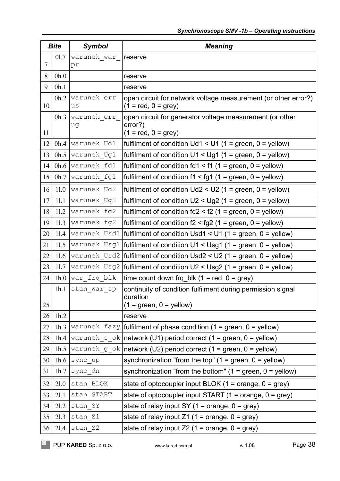|        | <b>Bite</b> | <b>Symbol</b>     | <b>Meaning</b>                                                                                       |
|--------|-------------|-------------------|------------------------------------------------------------------------------------------------------|
|        | 01.7        | warunek war       | reserve                                                                                              |
| $\tau$ |             | pr                |                                                                                                      |
| 8      | 0h.0        |                   | reserve                                                                                              |
| 9      | 0h.1        |                   | reserve                                                                                              |
| 10     | 0h.2        | warunek err<br>us | open circuit for network voltage measurement (or other error?)<br>$(1 = red, 0 = grey)$              |
| 11     | 0h.3        | warunek err<br>uq | open circuit for generator voltage measurement (or other<br>error?)<br>$(1 = red, 0 = grey)$         |
| 12     | 0h.4        | warunek Ud1       | fulfilment of condition $Ud1 < U1$ (1 = green, 0 = yellow)                                           |
| 13     | 0h.5        | warunek Ug1       | fulfilment of condition $U1 < Ug1$ (1 = green, 0 = yellow)                                           |
| 14     | 0h.6        | warunek fd1       | fulfilment of condition $f d1 < f1$ (1 = green, 0 = yellow)                                          |
| 15     | 0h.7        | warunek fg1       | fulfilment of condition $f1 < fg1$ (1 = green, 0 = yellow)                                           |
| 16     | 11.0        | warunek Ud2       | fulfilment of condition $Ud2 < U2$ (1 = green, 0 = yellow)                                           |
| 17     | 11.1        | warunek Ug2       | fulfilment of condition $U2 < Ug2$ (1 = green, 0 = yellow)                                           |
| 18     | 11.2        | warunek fd2       | fulfilment of condition $fd2 < f2$ (1 = green, 0 = yellow)                                           |
| 19     | 11.3        | warunek fg2       | fulfilment of condition $f2 < fg2$ (1 = green, 0 = yellow)                                           |
| 20     | 11.4        | warunek Usd1      | fulfilment of condition Usd1 < U1 (1 = green, $0 =$ yellow)                                          |
| 21     | 11.5        | warunek Usg1      | fulfilment of condition $U1 < Usg1$ (1 = green, 0 = yellow)                                          |
| 22     | 11.6        | warunek Usd2      | fulfilment of condition $Usd2 < U2$ (1 = green, 0 = yellow)                                          |
| 23     | 11.7        | warunek Usg2      | fulfilment of condition $U2 < Usg2$ (1 = green, 0 = yellow)                                          |
| 24     |             | 1h.0 war frq blk  | time count down frq_blk $(1 = red, 0 = grey)$                                                        |
| 25     | 1h.1        | stan war sp       | continuity of condition fulfilment during permission signal<br>duration<br>$(1 = green, 0 = yellow)$ |
| 26     | 1h.2        |                   | reserve                                                                                              |
| 27     | 1h.3        | warunek fazy      | fulfilment of phase condition $(1 = green, 0 = yellow)$                                              |
| 28     | 1h.4        | warunek s ok      | network (U1) period correct (1 = green, $0 =$ yellow)                                                |
| 29     | 1h.5        | warunek g ok      | network (U2) period correct (1 = green, $0 =$ yellow)                                                |
| 30     | 1h.6        | sync up           | synchronization "from the top" $(1 = green, 0 = yellow)$                                             |
| 31     | 1h.7        | sync dn           | synchronization "from the bottom" $(1 = green, 0 = yellow)$                                          |
| 32     | 21.0        | stan BLOK         | state of optocoupler input BLOK $(1 = \text{orange}, 0 = \text{grey})$                               |
| 33     | 21.1        | stan START        | state of optocoupler input START $(1 = \text{orange}, 0 = \text{grey})$                              |
| 34     | 21.2        | stan SY           | state of relay input SY $(1 = \text{orange}, 0 = \text{grey})$                                       |
| 35     | 21.3        | stan Z1           | state of relay input $Z1$ (1 = orange, 0 = grey)                                                     |
| 36     | 21.4        | stan Z2           | state of relay input Z2 (1 = orange, $0 = grey$ )                                                    |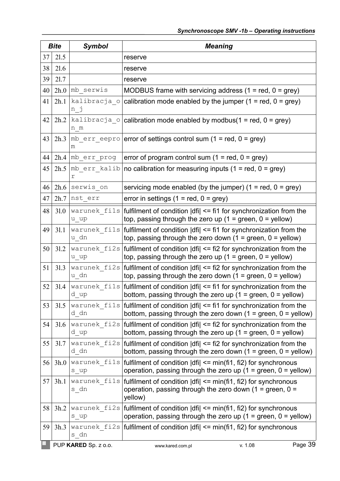| <b>Bite</b> |      | <b>Symbol</b>                 | <b>Meaning</b>                                                                                                                                                       |  |  |
|-------------|------|-------------------------------|----------------------------------------------------------------------------------------------------------------------------------------------------------------------|--|--|
| 37          | 21.5 |                               | reserve                                                                                                                                                              |  |  |
| 38          | 21.6 |                               | reserve                                                                                                                                                              |  |  |
| 39          | 21.7 |                               | reserve                                                                                                                                                              |  |  |
| 40          |      | $2h.0$ mb serwis              | MODBUS frame with servicing address $(1 = red, 0 = grey)$                                                                                                            |  |  |
| 41          | 2h.1 | kalibracja o<br>n j           | calibration mode enabled by the jumper $(1 = red, 0 = grey)$                                                                                                         |  |  |
| 42          | 2h.2 | n m                           | kalibracja o calibration mode enabled by modbus(1 = red, 0 = grey)                                                                                                   |  |  |
| 43          | 2h.3 | m                             | $\vert$ mb_err_eepro   error of settings control sum (1 = red, 0 = grey)                                                                                             |  |  |
| 44          |      | $2h.4 \mid mb$ err prog       | error of program control sum $(1 = red, 0 = grey)$                                                                                                                   |  |  |
| 45          |      | $2h.5 \mid mb$ err kalib<br>r | no calibration for measuring inputs $(1 = red, 0 = grey)$                                                                                                            |  |  |
| 46          | 2h.6 | serwis on                     | servicing mode enabled (by the jumper) $(1 = red, 0 = grey)$                                                                                                         |  |  |
| 47          | 2h.7 | nst err                       | error in settings $(1 = red, 0 = grey)$                                                                                                                              |  |  |
| 48          | 31.0 | warunek fils<br>u up          | fulfilment of condition   dfi  <= fi1 for synchronization from the<br>top, passing through the zero up $(1 =$ green, $0 =$ yellow)                                   |  |  |
| 49          | 31.1 | u dn                          | warunek_fils   fulfilment of condition $ dfi  \leq f$ fil for synchronization from the<br>top, passing through the zero down $(1 = green, 0 = yellow)$               |  |  |
| 50          | 31.2 | $u$ _up                       | warunek $fizs$ fulfilment of condition $\text{d}f$ = fi2 for synchronization from the<br>top, passing through the zero up $(1 = green, 0 = yellow)$                  |  |  |
| 51          | 31.3 | u dn                          | warunek $fizs$ fulfilment of condition $\text{d}f$ = fi2 for synchronization from the<br>top, passing through the zero down $(1 = green, 0 = yellow)$                |  |  |
| 52          | 31.4 | d up                          | warunek fils   fulfilment of condition   dfi  <= fi1 for synchronization from the<br>bottom, passing through the zero up $(1 = green, 0 = yellow)$                   |  |  |
| 53          | 31.5 | d dn                          | warunek_fils   fulfilment of condition $ dfi  \leq f$ fi1 for synchronization from the<br>bottom, passing through the zero down $(1 = green, 0 = yellow)$            |  |  |
| 54          | 31.6 | d up                          | warunek $fizs$ fulfilment of condition $\text{d}f$ = fi2 for synchronization from the<br>bottom, passing through the zero up $(1 = green, 0 = yellow)$               |  |  |
| 55          | 31.7 | d dn                          | warunek $fizs$ fulfilment of condition $dfz = fiz$ for synchronization from the<br>bottom, passing through the zero down $(1 = green, 0 = yellow)$                   |  |  |
| 56          | 3h.0 | $s$ _up                       | warunek $fils$   fulfilment of condition $\text{d}fil \leq \text{min}(fi1, fi2)$ for synchronous<br>operation, passing through the zero up $(1 = green, 0 = yellow)$ |  |  |
| 57          | 3h.1 | warunek fils<br>s dn          | fulfilment of condition $\text{d}f$ = min(fi1, fi2) for synchronous<br>operation, passing through the zero down (1 = green, $0 =$<br>yellow)                         |  |  |
| 58          | 3h.2 | $s$ _up                       | warunek $fizs$ fulfilment of condition $\text{d}f$ = min(fi1, fi2) for synchronous<br>operation, passing through the zero up $(1 = green, 0 = yellow)$               |  |  |
| 59          | 3h.3 | s dn                          | warunek $fizs$ fulfilment of condition $\text{d}f$ = min(fi1, fi2) for synchronous                                                                                   |  |  |
|             |      | PUP KARED Sp. z o.o.          | Page 39<br>v. 1.08<br>www.kared.com.pl                                                                                                                               |  |  |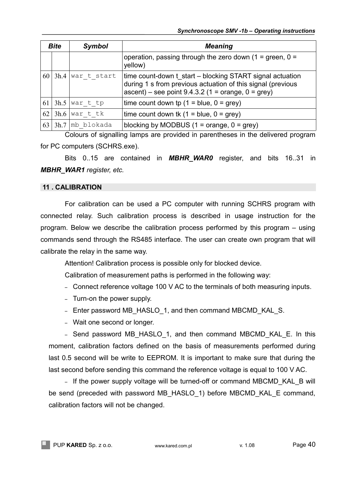| <b>Bite</b> |      | <b>Symbol</b> | <b>Meaning</b>                                                                                                                                                                          |  |  |
|-------------|------|---------------|-----------------------------------------------------------------------------------------------------------------------------------------------------------------------------------------|--|--|
|             |      |               | operation, passing through the zero down $(1 = green, 0 =$<br>yellow)                                                                                                                   |  |  |
| 60          | 3h.4 | war t start   | time count-down t start – blocking START signal actuation<br>during 1 s from previous actuation of this signal (previous<br>$\alpha$ ascent) – see point 9.4.3.2 (1 = orange, 0 = grey) |  |  |
| 61          | 3h.5 | war t tp      | time count down tp $(1 = blue, 0 = grey)$                                                                                                                                               |  |  |
| 62          | 3h.6 | war t tk      | time count down tk $(1 = blue, 0 = grey)$                                                                                                                                               |  |  |
| 63          | 3h.7 | mb blokada    | blocking by MODBUS $(1 = \text{orange}, 0 = \text{grey})$                                                                                                                               |  |  |

Colours of signalling lamps are provided in parentheses in the delivered program for PC computers (SCHRS.exe).

Bits 0..15 are contained in *MBHR\_WAR0* register, and bits 16..31 in *MBHR\_WAR1 register, etc.*

## **11 . CALIBRATION**

For calibration can be used a PC computer with running SCHRS program with connected relay. Such calibration process is described in usage instruction for the program. Below we describe the calibration process performed by this program – using commands send through the RS485 interface. The user can create own program that will calibrate the relay in the same way.

Attention! Calibration process is possible only for blocked device.

Calibration of measurement paths is performed in the following way:

- Connect reference voltage 100 V AC to the terminals of both measuring inputs.
- Turn-on the power supply.
- Enter password MB\_HASLO\_1, and then command MBCMD\_KAL\_S.
- Wait one second or longer.

– Send password MB\_HASLO\_1, and then command MBCMD\_KAL\_E. In this moment, calibration factors defined on the basis of measurements performed during last 0.5 second will be write to EEPROM. It is important to make sure that during the last second before sending this command the reference voltage is equal to 100 V AC.

– If the power supply voltage will be turned-off or command MBCMD\_KAL\_B will be send (preceded with password MB\_HASLO\_1) before MBCMD\_KAL\_E command, calibration factors will not be changed.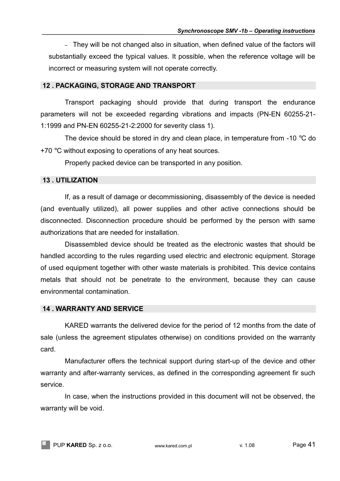– They will be not changed also in situation, when defined value of the factors will substantially exceed the typical values. It possible, when the reference voltage will be incorrect or measuring system will not operate correctly.

## **12 . PACKAGING, STORAGE AND TRANSPORT**

Transport packaging should provide that during transport the endurance parameters will not be exceeded regarding vibrations and impacts (PN-EN 60255-21- 1:1999 and PN-EN 60255-21-2:2000 for severity class 1).

The device should be stored in dry and clean place, in temperature from -10 °C do +70 °C without exposing to operations of any heat sources.

Properly packed device can be transported in any position.

## **13 . UTILIZATION**

If, as a result of damage or decommissioning, disassembly of the device is needed (and eventually utilized), all power supplies and other active connections should be disconnected. Disconnection procedure should be performed by the person with same authorizations that are needed for installation.

Disassembled device should be treated as the electronic wastes that should be handled according to the rules regarding used electric and electronic equipment. Storage of used equipment together with other waste materials is prohibited. This device contains metals that should not be penetrate to the environment, because they can cause environmental contamination.

## **14 . WARRANTY AND SERVICE**

KARED warrants the delivered device for the period of 12 months from the date of sale (unless the agreement stipulates otherwise) on conditions provided on the warranty card.

Manufacturer offers the technical support during start-up of the device and other warranty and after-warranty services, as defined in the corresponding agreement fir such service.

In case, when the instructions provided in this document will not be observed, the warranty will be void.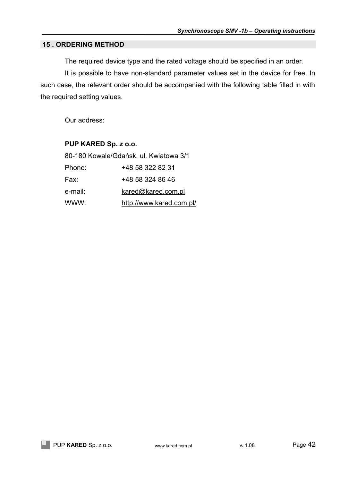## **15 . ORDERING METHOD**

The required device type and the rated voltage should be specified in an order.

It is possible to have non-standard parameter values set in the device for free. In such case, the relevant order should be accompanied with the following table filled in with the required setting values.

Our address:

## **PUP KARED Sp. z o.o.**

| 80-180 Kowale/Gdańsk, ul. Kwiatowa 3/1 |                          |  |  |
|----------------------------------------|--------------------------|--|--|
| Phone:                                 | +48 58 322 82 31         |  |  |
| Fax:                                   | +48 58 324 86 46         |  |  |
| e-mail:                                | kared@kared.com.pl       |  |  |
| WWW:                                   | http://www.kared.com.pl/ |  |  |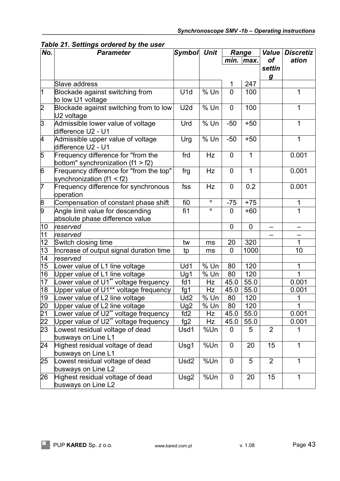| No.                                | <b>Parameter</b>                                                          | Symbol Unit      |         | Range          |              | <b>Value</b>     | <b>Discretiz</b> |
|------------------------------------|---------------------------------------------------------------------------|------------------|---------|----------------|--------------|------------------|------------------|
|                                    |                                                                           |                  |         | $min.$ max.    |              | of               | ation            |
|                                    |                                                                           |                  |         |                |              | settin           |                  |
|                                    | Slave address                                                             |                  |         | 1              | 247          | $\boldsymbol{g}$ |                  |
| $\overline{1}$                     | Blockade against switching from                                           | U1d              | $%$ Un  | $\overline{0}$ | 100          |                  | 1                |
|                                    | to low U1 voltage                                                         |                  |         |                |              |                  |                  |
| $\overline{2}$                     | Blockade against switching from to low<br>U <sub>2</sub> voltage          | U2d              | $%$ Un  | $\overline{0}$ | 100          |                  | 1                |
| $\overline{3}$                     | Admissible lower value of voltage<br>difference U2 - U1                   | Urd              | $%$ Un  | $-50$          | $+50$        |                  | 1                |
| 4                                  | Admissible upper value of voltage<br>difference U2 - U1                   | Urg              | $%$ Un  | $-50$          | $+50$        |                  | 1                |
| 5                                  | Frequency difference for "from the<br>bottom" synchronization $(f1 > f2)$ | frd              | Hz      | $\overline{0}$ | 1            |                  | 0.001            |
| $\overline{6}$                     | Frequency difference for "from the top"<br>synchronization (f1 < f2)      | frg              | Hz      | $\overline{0}$ | $\mathbf{1}$ |                  | 0.001            |
| $\overline{7}$                     | Frequency difference for synchronous<br>operation                         | fss              | Hz      | $\mathbf 0$    | 0.2          |                  | 0.001            |
|                                    | Compensation of constant phase shift                                      | fi0              | $\circ$ | $-75$          | $+75$        |                  | 1                |
| $\frac{8}{9}$                      | Angle limit value for descending<br>absolute phase difference value       | fi1              | $\circ$ | $\overline{0}$ | $+60$        |                  | 1                |
| $ 10\rangle$                       | reserved                                                                  |                  |         | $\mathbf 0$    | $\mathbf 0$  |                  |                  |
| 11                                 | reserved                                                                  |                  |         |                |              |                  |                  |
| 12                                 | Switch closing time                                                       | tw               | ms      | 20             | 320          |                  | 1                |
| $\overline{13}$                    | Increase of output signal duration time                                   | tp               | ms      | $\mathbf 0$    | 1000         |                  | 10               |
| 14                                 | reserved                                                                  |                  |         |                |              |                  |                  |
| 15                                 | Lower value of L1 line voltage                                            | Ud1              | $%$ Un  | 80             | 120          |                  | 1                |
| 16                                 | Upper value of L1 line voltage                                            | Ug1              | $%$ Un  | 80             | 120          |                  | 1                |
| 17                                 | Lower value of U1** voltage frequency                                     | fd1              | Hz      | 45.0           | 55.0         |                  | 0.001            |
| $\overline{18}$                    | Upper value of U1** voltage frequency                                     | fg1              | Hz      | 45.0           | 55.0         |                  | 0.001            |
| 19                                 | Lower value of L2 line voltage                                            | Ud <sub>2</sub>  | % Un    | 80             | 120          |                  | 1                |
|                                    | Upper value of L2 line voltage                                            | Ug <sub>2</sub>  | % Un    | 80             | 120          |                  | 1                |
|                                    | ower value of U2** voltage frequency                                      | fd2              | Hz      | 45.0           | 55.0         |                  | 0.001            |
|                                    | Upper value of U2** voltage frequency                                     | fg2              | Hz      | 45.0           | 55.0         |                  | 0.001            |
| $\frac{20}{21}$<br>$\frac{22}{23}$ | Lowest residual voltage of dead                                           | Usd1             | %Un     | 0              | 5            | 2                | 1                |
|                                    | busways on Line L1                                                        |                  |         |                |              |                  |                  |
| 24                                 | Highest residual voltage of dead                                          | Usg1             | %Un     | $\mathbf 0$    | 20           | 15               | 1                |
|                                    | busways on Line L1                                                        |                  |         |                |              |                  |                  |
| 25                                 | Lowest residual voltage of dead<br>busways on Line L2                     | Usd <sub>2</sub> | %Un     | $\mathbf 0$    | 5            | $\overline{2}$   | 1                |
| 26                                 | Highest residual voltage of dead<br>busways on Line L2                    | Usg2             | %Un     | $\mathbf 0$    | 20           | 15               | 1                |

*Table 21. Settings ordered by the user*